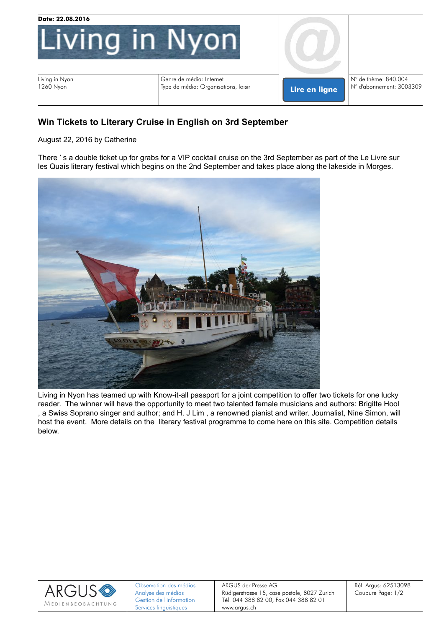

## **[Win](http://livinginnyon.com/win-tickets-to-literary-cruise-in-english-on-3rd-september/) [Tickets](http://livinginnyon.com/win-tickets-to-literary-cruise-in-english-on-3rd-september/) [to](http://livinginnyon.com/win-tickets-to-literary-cruise-in-english-on-3rd-september/) [Literary](http://livinginnyon.com/win-tickets-to-literary-cruise-in-english-on-3rd-september/) [Cruise](http://livinginnyon.com/win-tickets-to-literary-cruise-in-english-on-3rd-september/) [in](http://livinginnyon.com/win-tickets-to-literary-cruise-in-english-on-3rd-september/) [English](http://livinginnyon.com/win-tickets-to-literary-cruise-in-english-on-3rd-september/) [on](http://livinginnyon.com/win-tickets-to-literary-cruise-in-english-on-3rd-september/) [3rd](http://livinginnyon.com/win-tickets-to-literary-cruise-in-english-on-3rd-september/) [September](http://livinginnyon.com/win-tickets-to-literary-cruise-in-english-on-3rd-september/)**

August 22, 2016 by Catherine

There ' s a double ticket up for grabs for a VIP cocktail cruise on the 3rd September as part of the Le Livre sur les Quais literary festival which begins on the 2nd September and takes place along the lakeside in Morges.



Living in Nyon has teamed up with Know-it-all passport for a joint competition to offer two tickets for one lucky reader. The winner will have the opportunity to meet two talented female musicians and authors: Brigitte Hool , a Swiss Soprano singer and author; and H. J Lim , a renowned pianist and writer. Journalist, Nine Simon, will host the event. More details on the literary festival programme to come here on this site. Competition details below.



ARGUS der Presse AG Rüdigerstrasse 15, case postale, 8027 Zurich Tél. 044 388 82 00, Fax 044 388 82 01 www.argus.ch